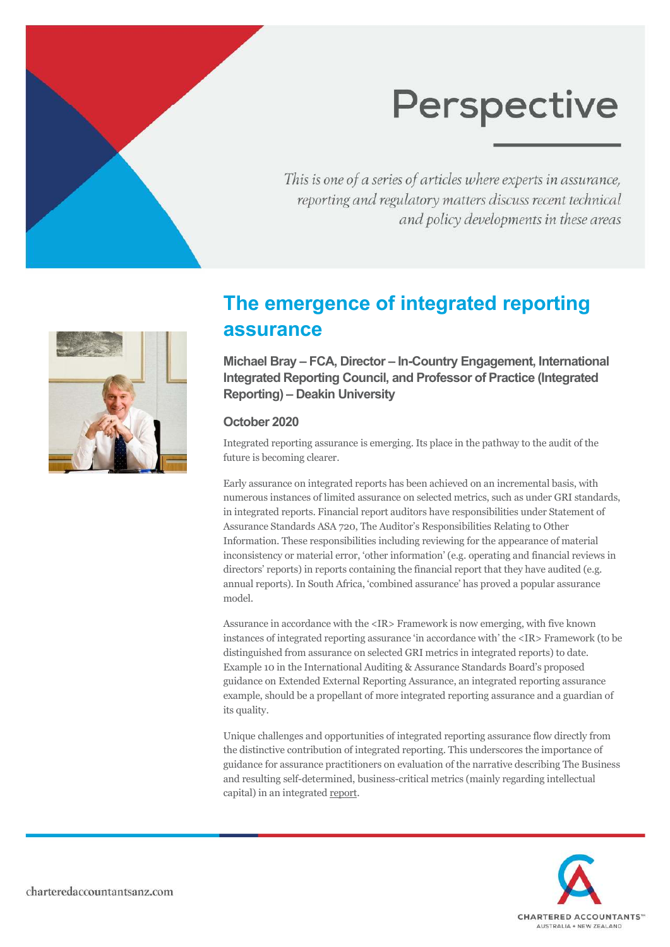# **Perspective**

This is one of a series of articles where experts in assurance, reporting and regulatory matters discuss recent technical and policy developments in these areas



## **The emergence of integrated reporting assurance**

**Michael Bray – FCA, Director – In-Country Engagement, International Integrated Reporting Council, and Professor of Practice (Integrated Reporting) – Deakin University** 

## **October 2020**

Integrated reporting assurance is emerging. Its place in the pathway to the audit of the future is becoming clearer.

Early assurance on integrated reports has been achieved on an incremental basis, with numerous instances of limited assurance on selected metrics, such as under GRI standards, in integrated reports. Financial report auditors have responsibilities under Statement of Assurance Standards ASA 720, The Auditor's Responsibilities Relating to Other Information. These responsibilities including reviewing for the appearance of material inconsistency or material error, 'other information' (e.g. operating and financial reviews in directors' reports) in reports containing the financial report that they have audited (e.g. annual reports). In South Africa, 'combined assurance' has proved a popular assurance model.

Assurance in accordance with the <IR> Framework is now emerging, with five known instances of integrated reporting assurance 'in accordance with' the <IR> Framework (to be distinguished from assurance on selected GRI metrics in integrated reports) to date. Example 10 in the International Auditing & Assurance Standards Board's proposed guidance on Extended External Reporting Assurance, an integrated reporting assurance example, should be a propellant of more integrated reporting assurance and a guardian of its quality.

Unique challenges and opportunities of integrated reporting assurance flow directly from the distinctive contribution of integrated reporting. This underscores the importance of guidance for assurance practitioners on evaluation of the narrative describing The Business and resulting self-determined, business-critical metrics (mainly regarding intellectual capital) in an integrated report.